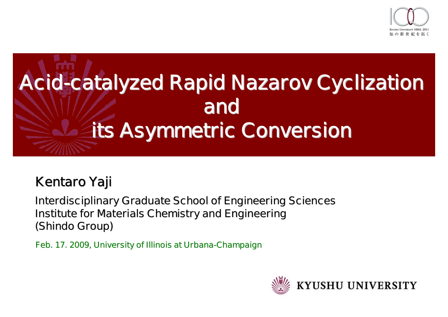



### **Kentaro Yaji**

**Interdisciplinary Graduate School of Engineering Sciences Institute for Materials Chemistry and Engineering (Shindo Group)**

**Feb. 17. 2009, University of Illinois at Urbana-Champaign**

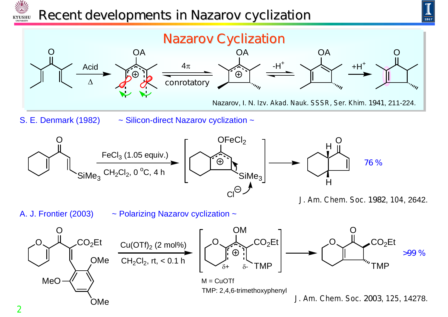

## *Recent developments in Nazarov cyclization*



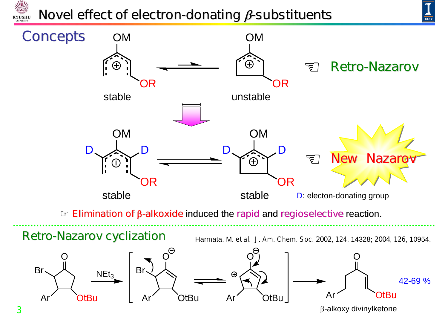

## *Novel effect of electron-donating β-substituents*



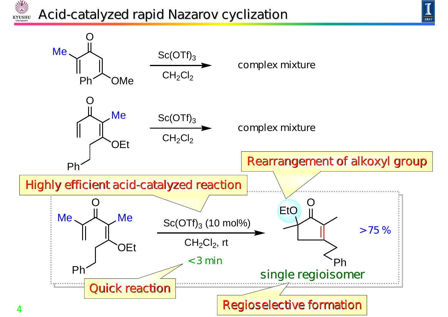# *Acid-catalyzed rapid Nazarov cyclization*

NW

**KYUSHU** 



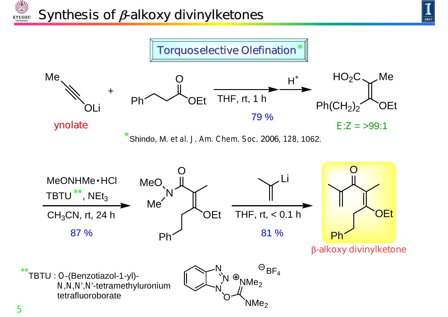



川乳

**KYUSHI** INIVERSIT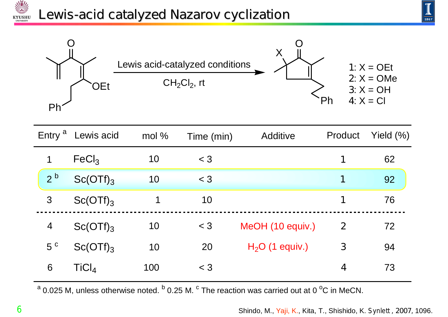# *Lewis-acid catalyzed Nazarov cyclization*





|  | Entry <sup>a</sup> | Lewis acid        | mol% | Time (min) | Additive         | Product          | Yield $(\%)$ |
|--|--------------------|-------------------|------|------------|------------------|------------------|--------------|
|  |                    | FeCl <sub>3</sub> | 10   | $<$ 3      |                  | 1                | 62           |
|  | 2 <sup>b</sup>     | $Sc(OTf)_{3}$     | 10   | $<$ 3      |                  | 1                | 92           |
|  | 3                  | $Sc(OTf)_{3}$     | 1    | 10         |                  | 1                | 76           |
|  | $\overline{4}$     | $Sc(OTf)_{3}$     | 10   | $<$ 3      | MeOH (10 equiv.) | $\boldsymbol{2}$ | 72           |
|  | 5 <sup>c</sup>     | $Sc(OTf)_{3}$     | 10   | 20         | $H2O$ (1 equiv.) | $\mathbf{3}$     | 94           |
|  | 6                  | TiCl <sub>4</sub> | 100  | $<$ 3      |                  | 4                | 73           |

 $^{\text{a}}$  0.025 M, unless otherwise noted.  $^{\text{b}}$  0.25 M.  $^{\text{c}}$  The reaction was carried out at 0  $^{\text{o}}$ C in MeCN.

Shindo, M., Yaji, K., Kita, T., Shishido, K. *Synlett ,* **2007***,* 1096.

NW

**KYUSHU**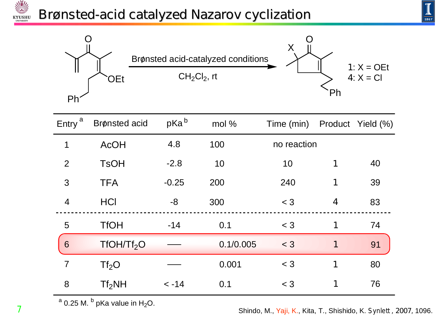# *Brønsted-acid catalyzed Nazarov cyclization*



| Entry <sup>a</sup> | <b>Brønsted acid</b>   | pKa <sup>b</sup> | mol %     | Time (min)  |                         | Product Yield (%) |
|--------------------|------------------------|------------------|-----------|-------------|-------------------------|-------------------|
| 1                  | <b>AcOH</b>            | 4.8              | 100       | no reaction |                         |                   |
| $\overline{2}$     | <b>TsOH</b>            | $-2.8$           | 10        | 10          | 1                       | 40                |
| 3                  | <b>TFA</b>             | $-0.25$          | 200       | 240         | 1                       | 39                |
| $\overline{4}$     | <b>HCI</b>             | -8               | 300       | $<$ 3       | $\overline{\mathbf{4}}$ | 83                |
| 5                  | <b>TfOH</b>            | $-14$            | 0.1       | $<$ 3       | 1                       | 74                |
| 6                  | TfOH/Tf <sub>2</sub> O |                  | 0.1/0.005 | $<$ 3       | 1                       | 91                |
| $\overline{7}$     | Tf <sub>2</sub> O      |                  | 0.001     | $<$ 3       | 1                       | 80                |
| 8                  | Tf <sub>2</sub> NH     | $< -14$          | 0.1       | $<$ 3       | 1                       | 76                |

 $a$  0.25 M.  $b$  pKa value in H<sub>2</sub>O.

Shindo, M., Yaji, K., Kita, T., Shishido, K. *Synlett ,* **2007***,* 1096.

**7**

NY

**KYUSHU**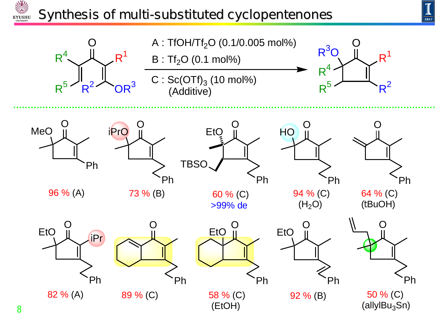#### *Synthesis of multi-substituted cyclopentenones***KYUSHU**





NY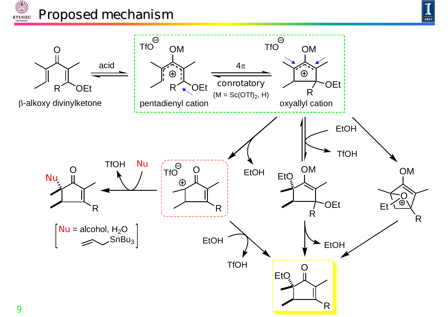



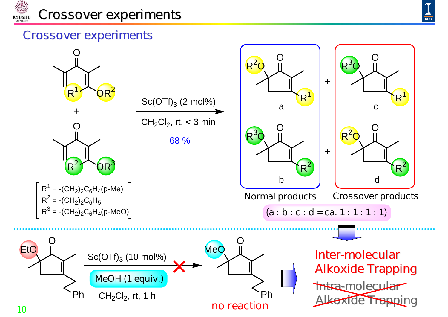



#### **Crossover experiments**

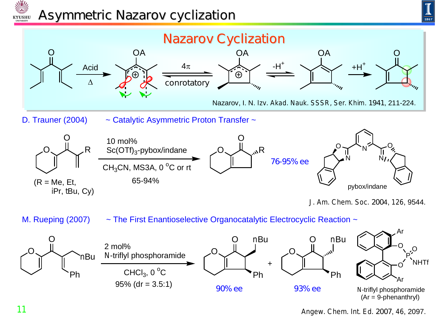

### *Asymmetric Nazarov cyclization*





M. Rueping (2007)  $\sim$  The First Enantioselective Organocatalytic Electrocyclic Reaction  $\sim$ 

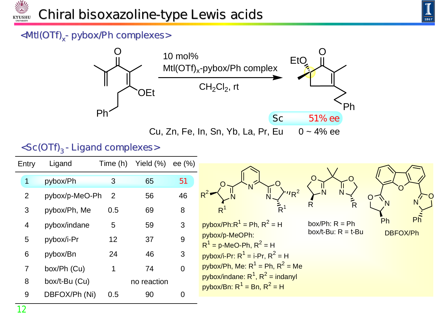



#### **<Mtl(OTf)x- pybox/Ph complexes>**



| <sc(otf)<sub>3 - Ligand complexes&gt;</sc(otf)<sub> |  |  |  |  |
|-----------------------------------------------------|--|--|--|--|
|-----------------------------------------------------|--|--|--|--|

| Entry          | Ligand            | Time (h)        | Yield (%)   | ee $(\% )$     |                                                                          |                                           |          |
|----------------|-------------------|-----------------|-------------|----------------|--------------------------------------------------------------------------|-------------------------------------------|----------|
|                |                   |                 |             |                |                                                                          |                                           |          |
| $\mathbf 1$    | pybox/Ph          | 3               | 65          | 51             |                                                                          |                                           |          |
| $\overline{2}$ | pybox/p-MeO-Ph    | $\overline{2}$  | 56          | 46             | 'R                                                                       |                                           |          |
| 3              | pybox/Ph, Me      | 0.5             | 69          | 8              | R<br>R                                                                   |                                           |          |
| $\overline{4}$ | pybox/indane      | $5\phantom{.0}$ | 59          | 3              | $pybox/Ph:R1 = Ph, R2 = H$                                               | box/Ph: $R = Ph$<br>box/t-Bu: $R = t$ -Bu | Ph<br>Ph |
| 5              | $pybox/i-Pr$      | 12              | 37          | 9              | pybox/p-MeOPh:<br>$R^1 = p$ -MeO-Ph, $R^2 = H$                           |                                           | DBFOX/Ph |
| 6              | pybox/Bn          | 24              | 46          | 3              | pybox/ <i>i</i> -Pr: $R^1 = i$ -Pr, $R^2 = H$                            |                                           |          |
| $\overline{7}$ | box/Ph (Cu)       |                 | 74          | $\overline{0}$ | pybox/Ph, Me: $R^1$ = Ph, $R^2$ = Me                                     |                                           |          |
| 8              | box/ $t$ -Bu (Cu) |                 | no reaction |                | pybox/indane: $R^1$ , $R^2$ = indanyl<br>pybox/Bn: $R^1$ = Bn, $R^2$ = H |                                           |          |
| 9              | DBFOX/Ph (Ni)     | 0.5             | 90          | $\overline{0}$ |                                                                          |                                           |          |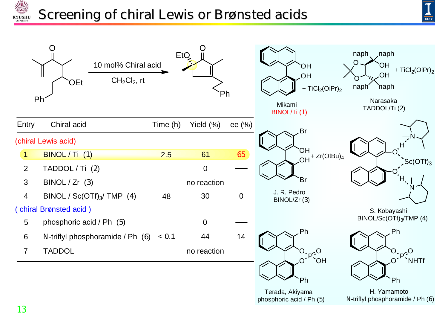

## *Screening of chiral Lewis or Brønsted acids*



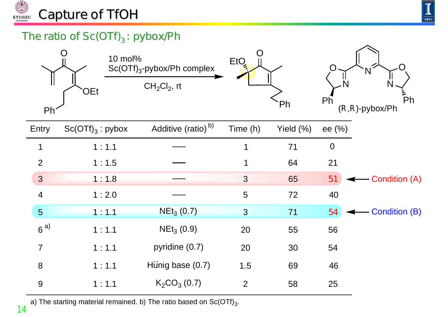



#### **The ratio of Sc(OTf)<sub>3</sub> : pybox/Ph**

|                | 10 mol%<br>OEt     | $Sc(OTf)_{3}$ -pybox/Ph complex<br>$CH2Cl2$ , rt | <b>EtQ</b>     | Ph        | Ph             | ءِ<br>Ph<br>$(R, R)$ -pybox/Ph |
|----------------|--------------------|--------------------------------------------------|----------------|-----------|----------------|--------------------------------|
| Ph<br>Entry    | $Sc(OTf)_3:$ pybox | Additive (ratio) <sup>b)</sup>                   | Time (h)       | Yield (%) | ee $(\%)$      |                                |
|                |                    |                                                  |                |           |                |                                |
| 1              | 1:1.1              |                                                  | $\mathbf 1$    | 71        | $\overline{0}$ |                                |
| $\overline{2}$ | 1:1.5              |                                                  | 1              | 64        | 21             |                                |
| 3              | 1:1.8              |                                                  | 3              | 65        | 51             | - Condition (A)                |
| $\overline{4}$ | 1:2.0              |                                                  | 5              | 72        | 40             |                                |
| 5              | 1:1.1              | NEt <sub>3</sub> (0.7)                           | $\overline{3}$ | 71        | 54             | <b>Condition (B)</b>           |
| $6^{a)}$       | 1:1.1              | $NEt_3(0.9)$                                     | 20             | 55        | 56             |                                |
| $\overline{7}$ | 1:1.1              | pyridine (0.7)                                   | 20             | 30        | 54             |                                |
| 8              | 1:1.1              | Hünig base (0.7)                                 | 1.5            | 69        | 46             |                                |
| 9              | 1:1.1              | $K_2CO_3(0.7)$                                   | $\overline{2}$ | 58        | 25             |                                |

a) The starting material remained. b) The ratio based on  $Sc(OTf)_{3}$ .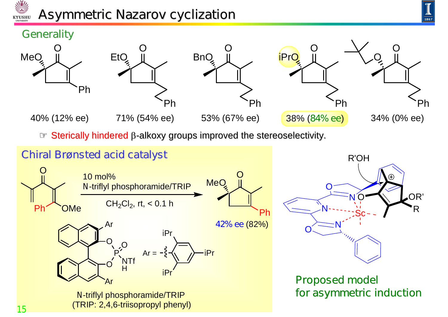

## *Asymmetric Nazarov cyclization*







40% (12% ee)







Sterically hindered  $\beta$ -alkoxy groups improved the stereoselectivity.

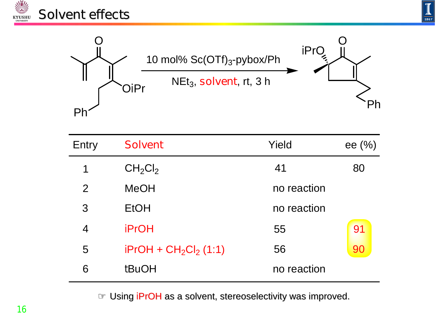





| Entry                    | <b>Solvent</b>                  | Yield       | ee $(\% )$ |
|--------------------------|---------------------------------|-------------|------------|
| 1                        | CH <sub>2</sub> Cl <sub>2</sub> | 41          | 80         |
| $\overline{2}$           | <b>MeOH</b>                     | no reaction |            |
| 3                        | <b>EtOH</b>                     | no reaction |            |
| $\overline{\mathcal{A}}$ | <b>PrOH</b>                     | 55          | 91         |
| 5                        | $PPOH + CH2Cl2$ (1:1)           | 56          | 90         |
| 6                        | <b>fBuOH</b>                    | no reaction |            |

Using *i*PrOH as a solvent, stereoselectivity was improved.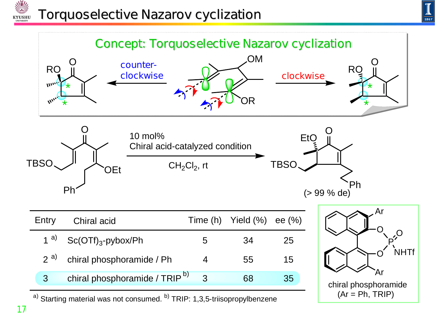

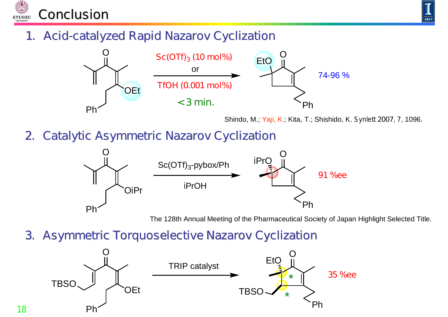



#### **1. Acid-catalyzed Rapid Nazarov Cyclization**



Shindo, M.; Yaji, K.; Kita, T.; Shishido, K. *Synlett* **2007**, *7*, 1096*.*

#### **2. Catalytic Asymmetric Nazarov Cyclization**



The 128th Annual Meeting of the Pharmaceutical Society of Japan Highlight Selected Title.

#### **3. Asymmetric Torquoselective Nazarov Cyclization**



**18**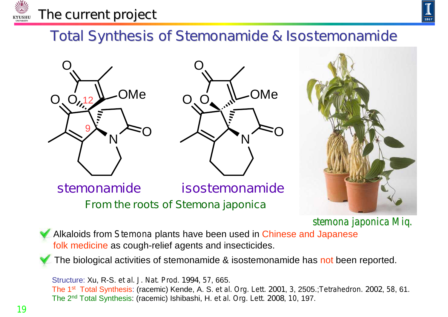

#### *The current project*



## **Total Synthesis of Stemonamide & Isostemonamide**







*stemona japonica Miq.*

Alkaloids from *Stemona* plants have been used in Chinese and Japanese folk medicine as cough-relief agents and insecticides.

**From the roots of** *Stemona japonica*

The biological activities of stemonamide & isostemonamide has not been reported.

Structure: Xu, R-S. *et al. J. Nat. Prod*. **1994**, *57*, 665. The 1st Total Synthesis: (racemic) Kende, A. S. *et al. Org. Lett.* **2001**, *3*, 2505.;*Tetrahedron.* **2002**, *58*, 61. The 2nd Total Synthesis: (racemic) Ishibashi, H. *et al. Org. Lett*. **2008**, *10*, 197.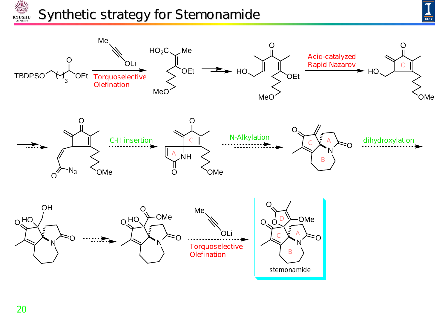#### V *Synthetic strategy for Stemonamide* **KYUSHU**